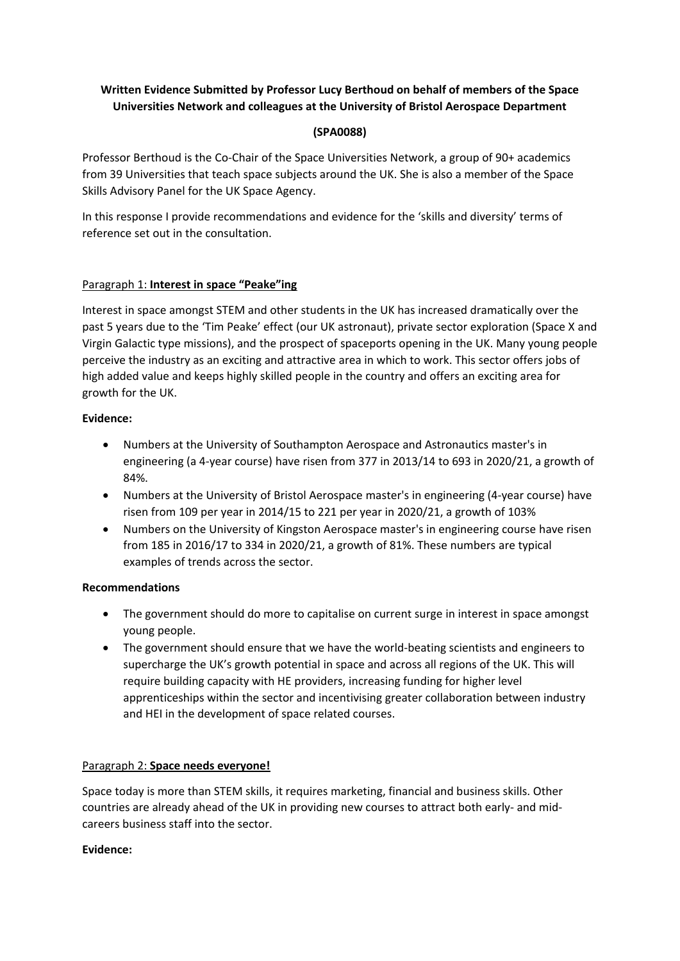# **Written Evidence Submitted by Professor Lucy Berthoud on behalf of members of the Space Universities Network and colleagues at the University of Bristol Aerospace Department**

# **(SPA0088)**

Professor Berthoud is the Co-Chair of the Space Universities Network, a group of 90+ academics from 39 Universities that teach space subjects around the UK. She is also a member of the Space Skills Advisory Panel for the UK Space Agency.

In this response I provide recommendations and evidence for the 'skills and diversity' terms of reference set out in the consultation.

# Paragraph 1: **Interest in space "Peake"ing**

Interest in space amongst STEM and other students in the UK has increased dramatically over the past 5 years due to the 'Tim Peake' effect (our UK astronaut), private sector exploration (Space X and Virgin Galactic type missions), and the prospect of spaceports opening in the UK. Many young people perceive the industry as an exciting and attractive area in which to work. This sector offers jobs of high added value and keeps highly skilled people in the country and offers an exciting area for growth for the UK.

### **Evidence:**

- Numbers at the University of Southampton Aerospace and Astronautics master's in engineering (a 4-year course) have risen from 377 in 2013/14 to 693 in 2020/21, a growth of 84%.
- Numbers at the University of Bristol Aerospace master's in engineering (4-year course) have risen from 109 per year in 2014/15 to 221 per year in 2020/21, a growth of 103%
- Numbers on the University of Kingston Aerospace master's in engineering course have risen from 185 in 2016/17 to 334 in 2020/21, a growth of 81%. These numbers are typical examples of trends across the sector.

#### **Recommendations**

- The government should do more to capitalise on current surge in interest in space amongst young people.
- The government should ensure that we have the world-beating scientists and engineers to supercharge the UK's growth potential in space and across all regions of the UK. This will require building capacity with HE providers, increasing funding for higher level apprenticeships within the sector and incentivising greater collaboration between industry and HEI in the development of space related courses.

# Paragraph 2: **Space needs everyone!**

Space today is more than STEM skills, it requires marketing, financial and business skills. Other countries are already ahead of the UK in providing new courses to attract both early- and midcareers business staff into the sector.

#### **Evidence:**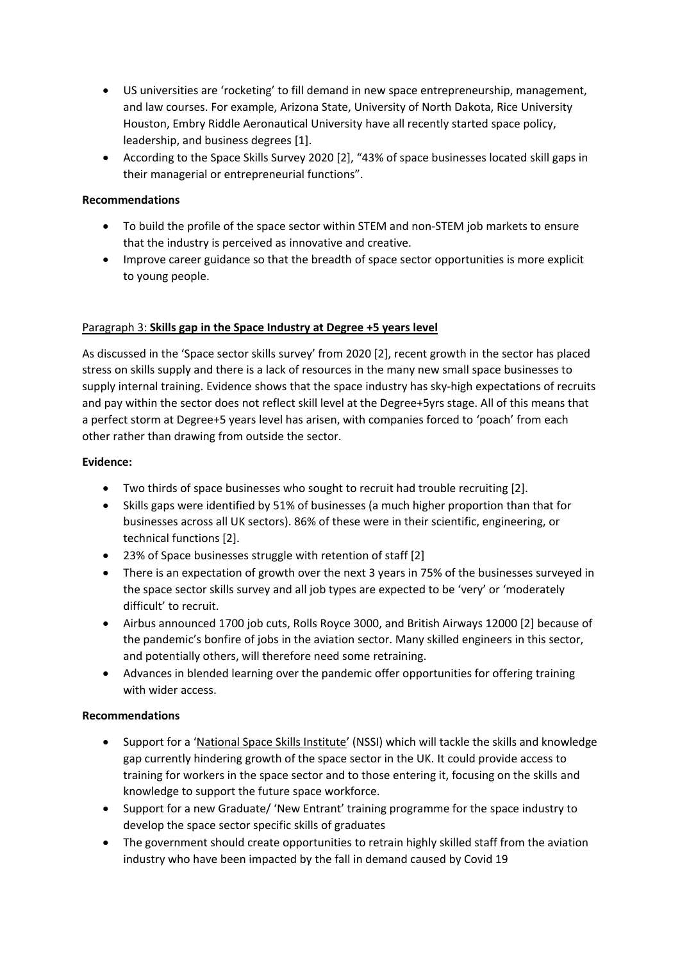- US universities are 'rocketing' to fill demand in new space entrepreneurship, management, and law courses. For example, Arizona State, University of North Dakota, Rice University Houston, Embry Riddle Aeronautical University have all recently started space policy, leadership, and business degrees [1].
- According to the Space Skills Survey 2020 [2], "43% of space businesses located skill gaps in their managerial or entrepreneurial functions".

### **Recommendations**

- To build the profile of the space sector within STEM and non-STEM job markets to ensure that the industry is perceived as innovative and creative.
- Improve career guidance so that the breadth of space sector opportunities is more explicit to young people.

### Paragraph 3: **Skills gap in the Space Industry at Degree +5 years level**

As discussed in the 'Space sector skills survey' from 2020 [2], recent growth in the sector has placed stress on skills supply and there is a lack of resources in the many new small space businesses to supply internal training. Evidence shows that the space industry has sky-high expectations of recruits and pay within the sector does not reflect skill level at the Degree+5yrs stage. All of this means that a perfect storm at Degree+5 years level has arisen, with companies forced to 'poach' from each other rather than drawing from outside the sector.

### **Evidence:**

- Two thirds of space businesses who sought to recruit had trouble recruiting [2].
- Skills gaps were identified by 51% of businesses (a much higher proportion than that for businesses across all UK sectors). 86% of these were in their scientific, engineering, or technical functions [2].
- 23% of Space businesses struggle with retention of staff [2]
- There is an expectation of growth over the next 3 years in 75% of the businesses surveyed in the space sector skills survey and all job types are expected to be 'very' or 'moderately difficult' to recruit.
- Airbus announced 1700 job cuts, Rolls Royce 3000, and British Airways 12000 [2] because of the pandemic's bonfire of jobs in the aviation sector. Many skilled engineers in this sector, and potentially others, will therefore need some retraining.
- Advances in blended learning over the pandemic offer opportunities for offering training with wider access.

#### **Recommendations**

- Support for a 'National Space Skills Institute' (NSSI) which will tackle the skills and knowledge gap currently hindering growth of the space sector in the UK. It could provide access to training for workers in the space sector and to those entering it, focusing on the skills and knowledge to support the future space workforce.
- Support for a new Graduate/ 'New Entrant' training programme for the space industry to develop the space sector specific skills of graduates
- The government should create opportunities to retrain highly skilled staff from the aviation industry who have been impacted by the fall in demand caused by Covid 19